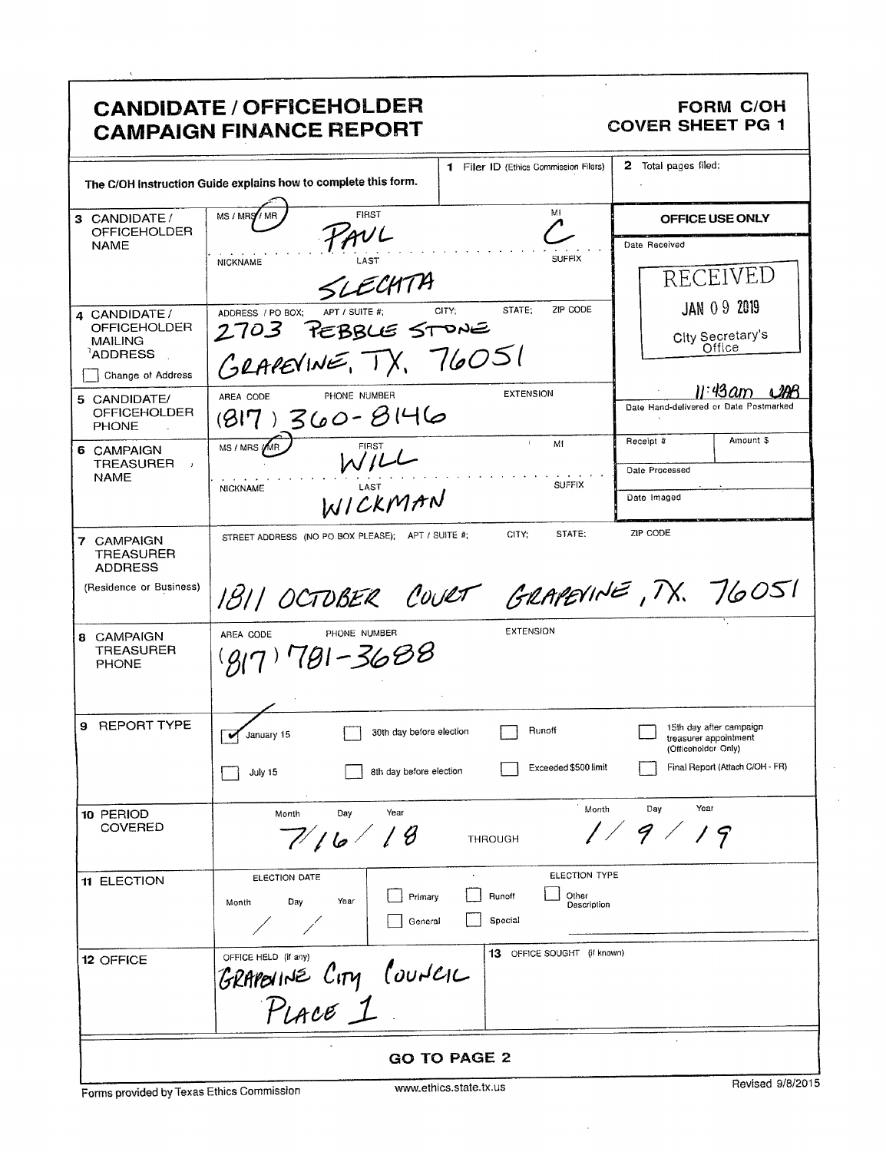## **CANDIDATE / OFFICEHOLDER CAMPAIGN FINANCE REPORT**

## **FORM C/OH COVER SHEET PG 1**

 $\bar{z}$ 

|                                                  | 1 Filer ID (Ethics Commission Filers)<br>The C/OH Instruction Guide explains how to complete this form. | 2 Total pages filed:                                                    |  |  |
|--------------------------------------------------|---------------------------------------------------------------------------------------------------------|-------------------------------------------------------------------------|--|--|
| 3 CANDIDATE/                                     | MI<br><b>FIRST</b><br>MS / MRS / MR                                                                     | OFFICE USE ONLY                                                         |  |  |
| <b>OFFICEHOLDER</b>                              | TAVL                                                                                                    |                                                                         |  |  |
| <b>NAME</b>                                      | <b>SUFFIX</b><br>LAST<br><b>NICKNAME</b>                                                                | Date Received                                                           |  |  |
|                                                  | LECHTA                                                                                                  | RECEIVED                                                                |  |  |
| 4 CANDIDATE /                                    | ZIP CODE<br>STATE;<br>CITY;<br>APT / SUITE #:<br>ADDRESS / PO BOX;                                      | <b>JAN 09 2019</b>                                                      |  |  |
| <b>OFFICEHOLDER</b><br><b>MAILING</b>            | 2703 PEBBLE STONE                                                                                       | City Secretary's                                                        |  |  |
| <sup>1</sup> ADDRESS                             | GRAPEVINE, TX, 76051                                                                                    | Office                                                                  |  |  |
| Change of Address                                |                                                                                                         |                                                                         |  |  |
| 5 CANDIDATE/                                     | <b>EXTENSION</b><br>PHONE NUMBER<br>AREA CODE                                                           | 11:43 am<br>Date Hand-delivered or Date Postmarked                      |  |  |
| <b>OFFICEHOLDER</b><br><b>PHONE</b>              | $(817)360 - 8146$                                                                                       |                                                                         |  |  |
| 6 CAMPAIGN<br><b>TREASURER</b><br>$\mathbf{J}$   | $\mathbf{f}$ .<br>Mi<br>MS / MRS / MR<br>W/L                                                            | Amount \$<br>Receipt #                                                  |  |  |
| <b>NAME</b>                                      | <b>SUFFIX</b>                                                                                           | Date Processed                                                          |  |  |
|                                                  | <b>NICKNAME</b><br>WICKMAN                                                                              | Date Imaged                                                             |  |  |
| 7 CAMPAIGN<br><b>TREASURER</b><br><b>ADDRESS</b> | STATE:<br>CITY:<br>STREET ADDRESS (NO PO BOX PLEASE); APT / SUITE #;                                    | ZIP CODE                                                                |  |  |
| (Residence or Business)                          | 1811 OCTOBER COURT GRAPEVINE, TX. 76051                                                                 |                                                                         |  |  |
| 8 CAMPAIGN<br><b>TREASURER</b><br><b>PHONE</b>   | <b>EXTENSION</b><br>PHONE NUMBER<br>AREA CODE<br>181–3688                                               |                                                                         |  |  |
| <b>REPORT TYPE</b><br>9                          | Runoff<br>30th day before election<br>January 15<br>v                                                   | 15th day after campaign<br>treasurer appointment<br>(Officeholder Only) |  |  |
|                                                  | Exceeded \$500 limit<br>8th day before election<br>July 15                                              | Final Report (Attach C/OH - FR)                                         |  |  |
| 10 PERIOD                                        | Month<br>Year<br>Day<br>Month                                                                           | Year<br>Day                                                             |  |  |
| COVERED                                          | В<br>7/16/<br><b>THROUGH</b>                                                                            | 1/9/<br>19                                                              |  |  |
| 11 ELECTION                                      | ELECTION TYPE<br>ELECTION DATE                                                                          |                                                                         |  |  |
|                                                  | Runoff<br>Other<br>Primary<br>Day<br>Year<br>Month<br>Description                                       |                                                                         |  |  |
|                                                  | Special<br>General                                                                                      |                                                                         |  |  |
| 12 OFFICE                                        | 13 OFFICE SOUGHT (if known)<br>OFFICE HELD (if any)                                                     |                                                                         |  |  |
|                                                  | GRAPEVINE CITY COUNCIL                                                                                  |                                                                         |  |  |
| <b>GO TO PAGE 2</b>                              |                                                                                                         |                                                                         |  |  |
|                                                  |                                                                                                         | Devised 0/0/001                                                         |  |  |

 $\sim$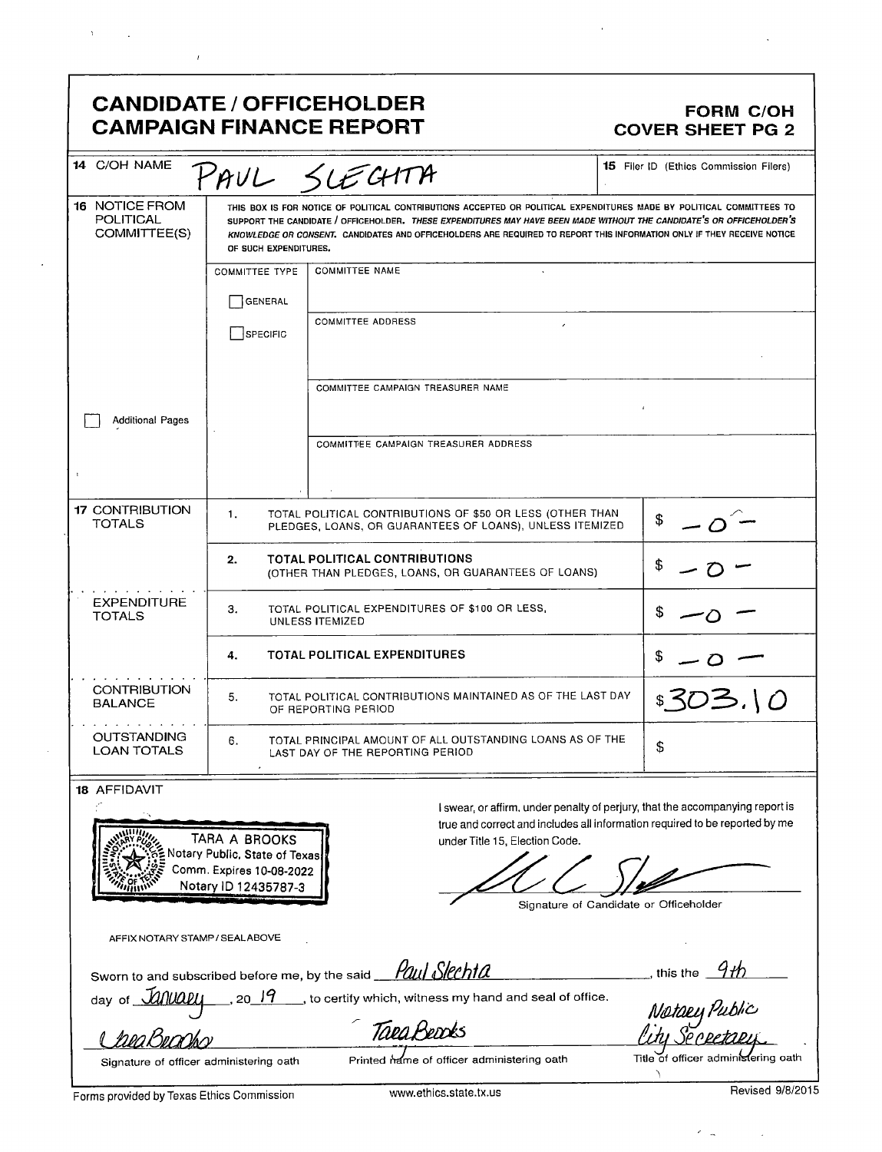## **CANDIDATE / OFFICEHOLDER CAMPAIGN FINANCE REPORT**

## **FORM C/OH COVER SHEET PG 2**

| 14 C/OH NAME                                              |                                                                                                                                                                                                                                                                                                                                                                                                  | PAUL SLECHTA                                                                                                          | <b>15</b> Filer ID (Ethics Commission Filers)                                 |
|-----------------------------------------------------------|--------------------------------------------------------------------------------------------------------------------------------------------------------------------------------------------------------------------------------------------------------------------------------------------------------------------------------------------------------------------------------------------------|-----------------------------------------------------------------------------------------------------------------------|-------------------------------------------------------------------------------|
| <b>16 NOTICE FROM</b><br><b>POLITICAL</b><br>COMMITTEE(S) | THIS BOX IS FOR NOTICE OF POLITICAL CONTRIBUTIONS ACCEPTED OR POLITICAL EXPENDITURES MADE BY POLITICAL COMMITTEES TO<br>SUPPORT THE CANDIDATE / OFFICEHOLDER. THESE EXPENDITURES MAY HAVE BEEN MADE WITHOUT THE CANDIDATE'S OR OFFICEHOLDER'S<br>KNOWLEDGE OR CONSENT. CANDIDATES AND OFFICEHOLDERS ARE REQUIRED TO REPORT THIS INFORMATION ONLY IF THEY RECEIVE NOTICE<br>OF SUCH EXPENDITURES. |                                                                                                                       |                                                                               |
|                                                           | <b>COMMITTEE TYPE</b>                                                                                                                                                                                                                                                                                                                                                                            | <b>COMMITTEE NAME</b>                                                                                                 |                                                                               |
|                                                           | <b>GENERAL</b>                                                                                                                                                                                                                                                                                                                                                                                   |                                                                                                                       |                                                                               |
|                                                           | SPECIFIC                                                                                                                                                                                                                                                                                                                                                                                         | <b>COMMITTEE ADDRESS</b>                                                                                              |                                                                               |
|                                                           |                                                                                                                                                                                                                                                                                                                                                                                                  |                                                                                                                       |                                                                               |
|                                                           |                                                                                                                                                                                                                                                                                                                                                                                                  | COMMITTEE CAMPAIGN TREASURER NAME                                                                                     |                                                                               |
| <b>Additional Pages</b>                                   |                                                                                                                                                                                                                                                                                                                                                                                                  |                                                                                                                       |                                                                               |
|                                                           |                                                                                                                                                                                                                                                                                                                                                                                                  | COMMITTEE CAMPAIGN TREASURER ADDRESS                                                                                  |                                                                               |
|                                                           |                                                                                                                                                                                                                                                                                                                                                                                                  |                                                                                                                       |                                                                               |
| <b>17 CONTRIBUTION</b><br><b>TOTALS</b>                   | 1.                                                                                                                                                                                                                                                                                                                                                                                               | TOTAL POLITICAL CONTRIBUTIONS OF \$50 OR LESS (OTHER THAN<br>PLEDGES, LOANS, OR GUARANTEES OF LOANS), UNLESS ITEMIZED | \$                                                                            |
|                                                           | 2.                                                                                                                                                                                                                                                                                                                                                                                               | TOTAL POLITICAL CONTRIBUTIONS<br>(OTHER THAN PLEDGES, LOANS, OR GUARANTEES OF LOANS)                                  |                                                                               |
| <b>EXPENDITURE</b><br><b>TOTALS</b>                       | З.                                                                                                                                                                                                                                                                                                                                                                                               | TOTAL POLITICAL EXPENDITURES OF \$100 OR LESS,<br>UNLESS ITEMIZED                                                     | S                                                                             |
|                                                           | 4.                                                                                                                                                                                                                                                                                                                                                                                               | <b>TOTAL POLITICAL EXPENDITURES</b>                                                                                   |                                                                               |
| <b>CONTRIBUTION</b><br><b>BALANCE</b>                     | TOTAL POLITICAL CONTRIBUTIONS MAINTAINED AS OF THE LAST DAY<br>5.<br>OF REPORTING PERIOD                                                                                                                                                                                                                                                                                                         |                                                                                                                       | \$303.10                                                                      |
| <b>OUTSTANDING</b><br><b>LOAN TOTALS</b>                  | TOTAL PRINCIPAL AMOUNT OF ALL OUTSTANDING LOANS AS OF THE<br>6.<br>\$<br>LAST DAY OF THE REPORTING PERIOD                                                                                                                                                                                                                                                                                        |                                                                                                                       |                                                                               |
| 18 AFFIDAVIT                                              |                                                                                                                                                                                                                                                                                                                                                                                                  |                                                                                                                       | I swear, or affirm, under penalty of perjury, that the accompanying report is |
| <b>WWW.</b>                                               | TARA A RROOKS                                                                                                                                                                                                                                                                                                                                                                                    | under Title 15, Cleation Code                                                                                         | true and correct and includes all information required to be reported by me   |

lotary Public, State of Texas Comm. Expires 10-08-2022 Notary ID 12435787-3

Signature of Candidate or Officeholder

AFFIX NOTARY STAMP / SEALABOVE Sworn to and subscribed before me, by the said *\_\_\_\_\_\_\_\_\_\_\_\_\_\_\_\_\_\_\_\_\_\_\_\_\_\_\_\_\_\_\_\_\_* this the day of *Januapu* \_, to certify which, witness my hand and seal of office.  $20 \frac{19}{2}$ Notaey Public Tara Beacks CheaBeans Printed name of officer administering oath

Signature of officer administering oath

Title of officer administering oath  $\Delta$ 

Forms provided by Texas Ethics Commission